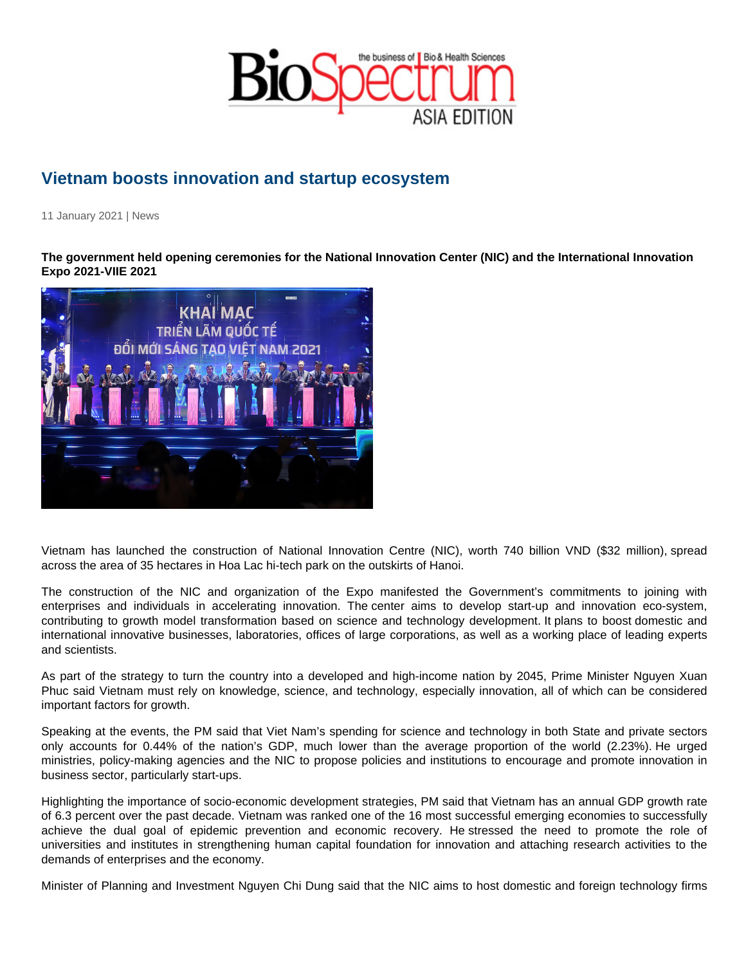## Vietnam boosts innovation and startup ecosystem

11 January 2021 | News

The government held opening ceremonies for the National Innovation Center (NIC) and the International Innovation Expo 2021-VIIE 2021

Vietnam has launched the construction of National Innovation Centre (NIC), worth 740 billion VND (\$32 million), spread across the area of 35 hectares in Hoa Lac hi-tech park on the outskirts of Hanoi.

The construction of the NIC and organization of the Expo manifested the Government's commitments to joining with enterprises and individuals in accelerating innovation. The center aims to develop start-up and innovation eco-system, contributing to growth model transformation based on science and technology development. It plans to boost domestic and international innovative businesses, laboratories, offices of large corporations, as well as a working place of leading experts and scientists.

As part of the strategy to turn the country into a developed and high-income nation by 2045, Prime Minister Nguyen Xuan Phuc said Vietnam must rely on knowledge, science, and technology, especially innovation, all of which can be considered important factors for growth.

Speaking at the events, the PM said that Viet Nam's spending for science and technology in both State and private sectors only accounts for 0.44% of the nation's GDP, much lower than the average proportion of the world (2.23%). He urged ministries, policy-making agencies and the NIC to propose policies and institutions to encourage and promote innovation in business sector, particularly start-ups.

Highlighting the importance of socio-economic development strategies, PM said that Vietnam has an annual GDP growth rate of 6.3 percent over the past decade. Vietnam was ranked one of the 16 most successful emerging economies to successfully achieve the dual goal of epidemic prevention and economic recovery. He stressed the need to promote the role of universities and institutes in strengthening human capital foundation for innovation and attaching research activities to the demands of enterprises and the economy.

Minister of Planning and Investment Nguyen Chi Dung said that the NIC aims to host domestic and foreign technology firms